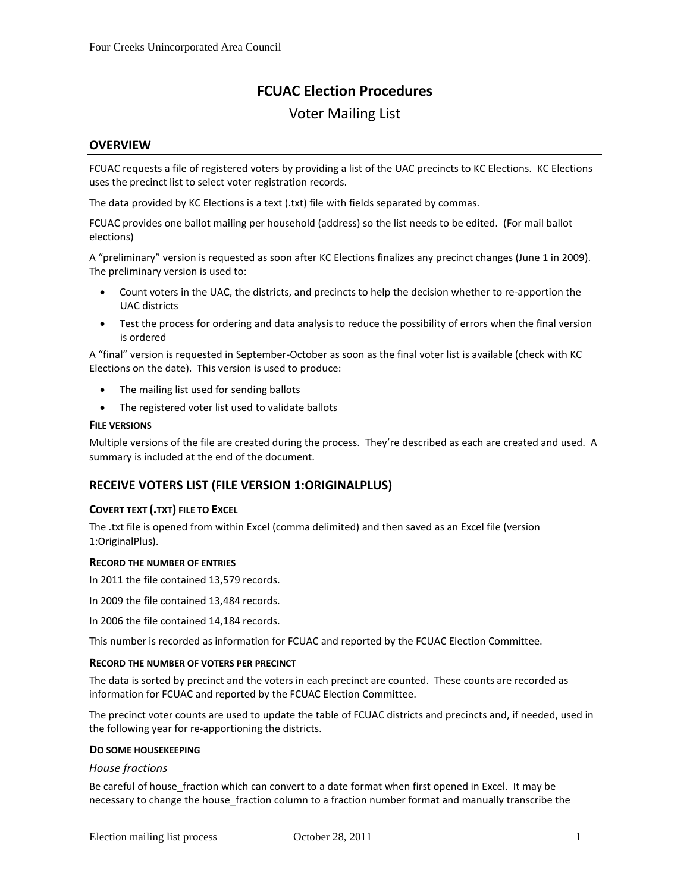# **FCUAC Election Procedures**

# Voter Mailing List

# **OVERVIEW**

FCUAC requests a file of registered voters by providing a list of the UAC precincts to KC Elections. KC Elections uses the precinct list to select voter registration records.

The data provided by KC Elections is a text (.txt) file with fields separated by commas.

FCUAC provides one ballot mailing per household (address) so the list needs to be edited. (For mail ballot elections)

A "preliminary" version is requested as soon after KC Elections finalizes any precinct changes (June 1 in 2009). The preliminary version is used to:

- Count voters in the UAC, the districts, and precincts to help the decision whether to re-apportion the UAC districts
- Test the process for ordering and data analysis to reduce the possibility of errors when the final version is ordered

A "final" version is requested in September-October as soon as the final voter list is available (check with KC Elections on the date). This version is used to produce:

- The mailing list used for sending ballots
- The registered voter list used to validate ballots

### **FILE VERSIONS**

Multiple versions of the file are created during the process. They're described as each are created and used. A summary is included at the end of the document.

# **RECEIVE VOTERS LIST (FILE VERSION 1:ORIGINALPLUS)**

# **COVERT TEXT (.TXT) FILE TO EXCEL**

The .txt file is opened from within Excel (comma delimited) and then saved as an Excel file (version 1:OriginalPlus).

#### **RECORD THE NUMBER OF ENTRIES**

In 2011 the file contained 13,579 records.

- In 2009 the file contained 13,484 records.
- In 2006 the file contained 14,184 records.

This number is recorded as information for FCUAC and reported by the FCUAC Election Committee.

#### **RECORD THE NUMBER OF VOTERS PER PRECINCT**

The data is sorted by precinct and the voters in each precinct are counted. These counts are recorded as information for FCUAC and reported by the FCUAC Election Committee.

The precinct voter counts are used to update the table of FCUAC districts and precincts and, if needed, used in the following year for re-apportioning the districts.

### **DO SOME HOUSEKEEPING**

#### *House fractions*

Be careful of house\_fraction which can convert to a date format when first opened in Excel. It may be necessary to change the house\_fraction column to a fraction number format and manually transcribe the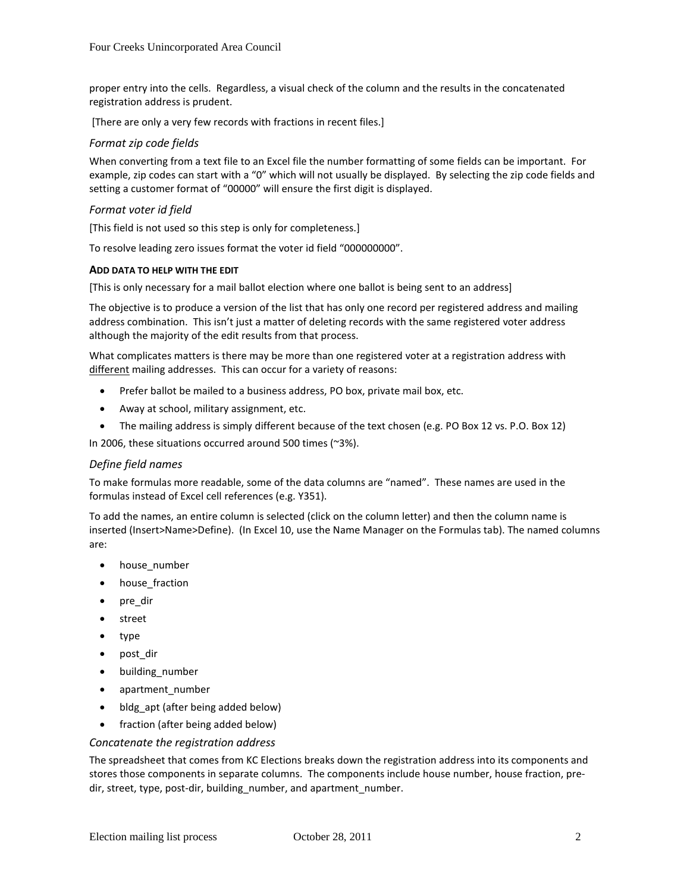proper entry into the cells. Regardless, a visual check of the column and the results in the concatenated registration address is prudent.

[There are only a very few records with fractions in recent files.]

# *Format zip code fields*

When converting from a text file to an Excel file the number formatting of some fields can be important. For example, zip codes can start with a "0" which will not usually be displayed. By selecting the zip code fields and setting a customer format of "00000" will ensure the first digit is displayed.

# *Format voter id field*

[This field is not used so this step is only for completeness.]

To resolve leading zero issues format the voter id field "000000000".

### **ADD DATA TO HELP WITH THE EDIT**

[This is only necessary for a mail ballot election where one ballot is being sent to an address]

The objective is to produce a version of the list that has only one record per registered address and mailing address combination. This isn't just a matter of deleting records with the same registered voter address although the majority of the edit results from that process.

What complicates matters is there may be more than one registered voter at a registration address with different mailing addresses. This can occur for a variety of reasons:

- Prefer ballot be mailed to a business address, PO box, private mail box, etc.
- Away at school, military assignment, etc.
- The mailing address is simply different because of the text chosen (e.g. PO Box 12 vs. P.O. Box 12)

In 2006, these situations occurred around 500 times (~3%).

# *Define field names*

To make formulas more readable, some of the data columns are "named". These names are used in the formulas instead of Excel cell references (e.g. Y351).

To add the names, an entire column is selected (click on the column letter) and then the column name is inserted (Insert>Name>Define). (In Excel 10, use the Name Manager on the Formulas tab). The named columns are:

- house number
- house\_fraction
- pre\_dir
- street
- type
- post\_dir
- building number
- apartment\_number
- bldg apt (after being added below)
- fraction (after being added below)

# *Concatenate the registration address*

The spreadsheet that comes from KC Elections breaks down the registration address into its components and stores those components in separate columns. The components include house number, house fraction, predir, street, type, post-dir, building number, and apartment number.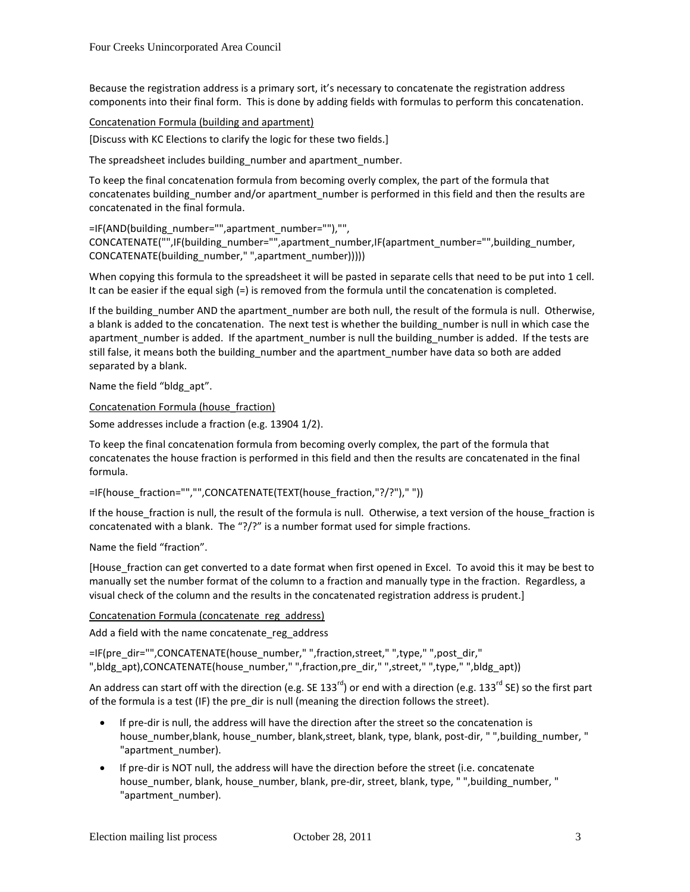Because the registration address is a primary sort, it's necessary to concatenate the registration address components into their final form. This is done by adding fields with formulas to perform this concatenation.

Concatenation Formula (building and apartment)

[Discuss with KC Elections to clarify the logic for these two fields.]

The spreadsheet includes building\_number and apartment\_number.

To keep the final concatenation formula from becoming overly complex, the part of the formula that concatenates building\_number and/or apartment\_number is performed in this field and then the results are concatenated in the final formula.

=IF(AND(building number="",apartment number=""),"", CONCATENATE("",IF(building\_number="",apartment\_number,IF(apartment\_number="",building\_number, CONCATENATE(building\_number," ",apartment\_number)))))

When copying this formula to the spreadsheet it will be pasted in separate cells that need to be put into 1 cell. It can be easier if the equal sigh (=) is removed from the formula until the concatenation is completed.

If the building\_number AND the apartment\_number are both null, the result of the formula is null. Otherwise, a blank is added to the concatenation. The next test is whether the building number is null in which case the apartment number is added. If the apartment number is null the building number is added. If the tests are still false, it means both the building\_number and the apartment\_number have data so both are added separated by a blank.

Name the field "bldg apt".

Concatenation Formula (house\_fraction)

Some addresses include a fraction (e.g. 13904 1/2).

To keep the final concatenation formula from becoming overly complex, the part of the formula that concatenates the house fraction is performed in this field and then the results are concatenated in the final formula.

=IF(house\_fraction="","",CONCATENATE(TEXT(house\_fraction,"?/?")," "))

If the house\_fraction is null, the result of the formula is null. Otherwise, a text version of the house\_fraction is concatenated with a blank. The "?/?" is a number format used for simple fractions.

Name the field "fraction".

[House\_fraction can get converted to a date format when first opened in Excel. To avoid this it may be best to manually set the number format of the column to a fraction and manually type in the fraction. Regardless, a visual check of the column and the results in the concatenated registration address is prudent.]

Concatenation Formula (concatenate\_reg\_address)

Add a field with the name concatenate reg address

=IF(pre\_dir="",CONCATENATE(house\_number," ",fraction,street," ",type," ",post\_dir," ",bldg\_apt),CONCATENATE(house\_number," ",fraction,pre\_dir," ",street," ",type," ",bldg\_apt))

An address can start off with the direction (e.g. SE 133<sup>rd</sup>) or end with a direction (e.g. 133<sup>rd</sup> SE) so the first part of the formula is a test (IF) the pre\_dir is null (meaning the direction follows the street).

- If pre-dir is null, the address will have the direction after the street so the concatenation is house\_number,blank, house\_number, blank,street, blank, type, blank, post-dir, " ",building\_number, " "apartment\_number).
- If pre-dir is NOT null, the address will have the direction before the street (i.e. concatenate house number, blank, house number, blank, pre-dir, street, blank, type, " ",building number, " "apartment\_number).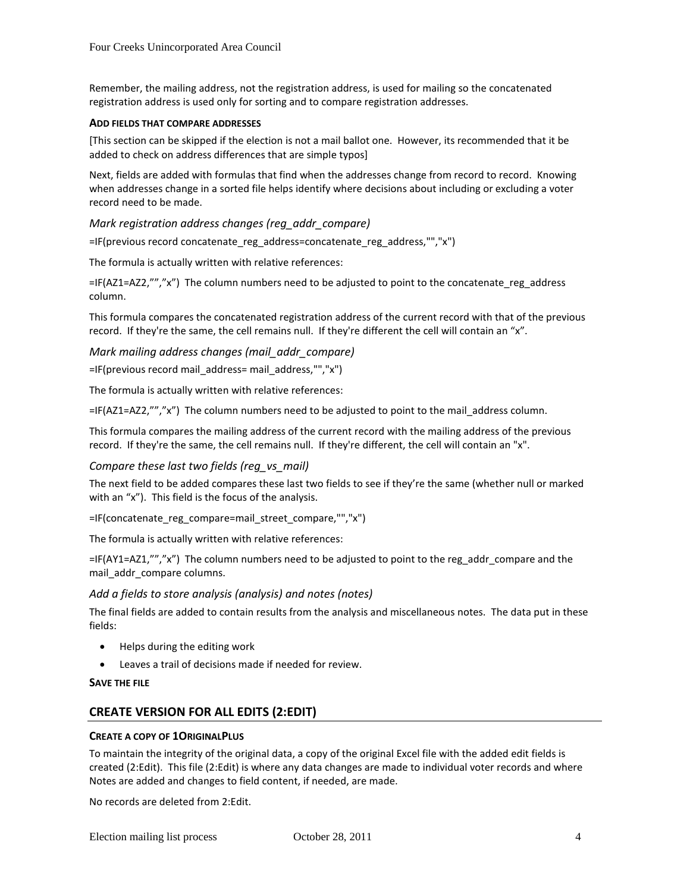Remember, the mailing address, not the registration address, is used for mailing so the concatenated registration address is used only for sorting and to compare registration addresses.

### **ADD FIELDS THAT COMPARE ADDRESSES**

[This section can be skipped if the election is not a mail ballot one. However, its recommended that it be added to check on address differences that are simple typos]

Next, fields are added with formulas that find when the addresses change from record to record. Knowing when addresses change in a sorted file helps identify where decisions about including or excluding a voter record need to be made.

### *Mark registration address changes (reg\_addr\_compare)*

=IF(previous record concatenate\_reg\_address=concatenate\_reg\_address,"","x")

The formula is actually written with relative references:

=IF(AZ1=AZ2,"","x") The column numbers need to be adjusted to point to the concatenate\_reg\_address column.

This formula compares the concatenated registration address of the current record with that of the previous record. If they're the same, the cell remains null. If they're different the cell will contain an "x".

*Mark mailing address changes (mail\_addr\_compare)*

=IF(previous record mail\_address= mail\_address,"","x")

The formula is actually written with relative references:

=IF(AZ1=AZ2,"","x") The column numbers need to be adjusted to point to the mail\_address column.

This formula compares the mailing address of the current record with the mailing address of the previous record. If they're the same, the cell remains null. If they're different, the cell will contain an "x".

# *Compare these last two fields (reg\_vs\_mail)*

The next field to be added compares these last two fields to see if they're the same (whether null or marked with an "x"). This field is the focus of the analysis.

=IF(concatenate\_reg\_compare=mail\_street\_compare,"","x")

The formula is actually written with relative references:

=IF(AY1=AZ1,"","x") The column numbers need to be adjusted to point to the reg\_addr\_compare and the mail\_addr\_compare columns.

# *Add a fields to store analysis (analysis) and notes (notes)*

The final fields are added to contain results from the analysis and miscellaneous notes. The data put in these fields:

- Helps during the editing work
- Leaves a trail of decisions made if needed for review.

# **SAVE THE FILE**

# **CREATE VERSION FOR ALL EDITS (2:EDIT)**

### **CREATE A COPY OF 1ORIGINALPLUS**

To maintain the integrity of the original data, a copy of the original Excel file with the added edit fields is created (2:Edit). This file (2:Edit) is where any data changes are made to individual voter records and where Notes are added and changes to field content, if needed, are made.

No records are deleted from 2:Edit.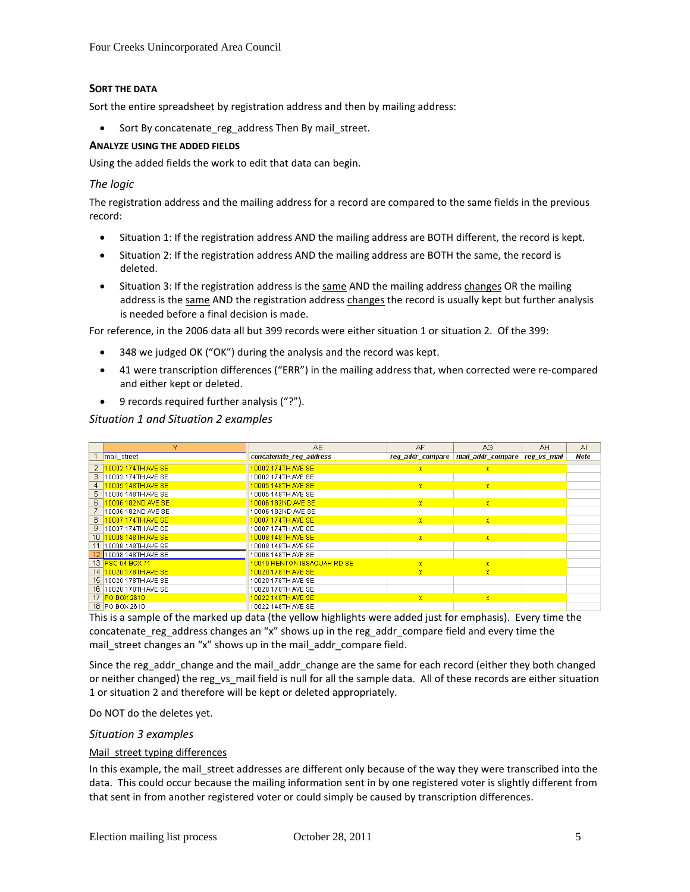### **SORT THE DATA**

Sort the entire spreadsheet by registration address and then by mailing address:

• Sort By concatenate\_reg\_address Then By mail\_street.

### **ANALYZE USING THE ADDED FIELDS**

Using the added fields the work to edit that data can begin.

### *The logic*

The registration address and the mailing address for a record are compared to the same fields in the previous record:

- Situation 1: If the registration address AND the mailing address are BOTH different, the record is kept.
- Situation 2: If the registration address AND the mailing address are BOTH the same, the record is deleted.
- Situation 3: If the registration address is the same AND the mailing address changes OR the mailing address is the same AND the registration address changes the record is usually kept but further analysis is needed before a final decision is made.

For reference, in the 2006 data all but 399 records were either situation 1 or situation 2. Of the 399:

- 348 we judged OK ("OK") during the analysis and the record was kept.
- 41 were transcription differences ("ERR") in the mailing address that, when corrected were re-compared and either kept or deleted.
- 9 records required further analysis ("?").

*Situation 1 and Situation 2 examples*

|     |                         | AE.                         | AF           | AG                                                 | AH | $\mathsf{A}$ |
|-----|-------------------------|-----------------------------|--------------|----------------------------------------------------|----|--------------|
|     | mail_street             | concatenate_reg_address     |              | reg_addr_compare   mail_addr_compare   reg_vs_mail |    | Note         |
| 2.  | 10002 174TH AVE SE      | 10002 174TH AVE SE          | x            | x                                                  |    |              |
| з   | 10002 174TH AVE SE      | 10002 174TH AVE SE          |              |                                                    |    |              |
| 4   | 10005 148TH AVE SE      | 10005 148TH AVE SE          | $\mathbf x$  | $\mathbf x$                                        |    |              |
| 5   | 10005 148TH AVE SE      | 10005 148TH AVE SE          |              |                                                    |    |              |
| 6.  | 10006 182ND AVE SE      | 10006 182ND AVE SE.         | $\mathbf{x}$ | $\mathbf{x}$                                       |    |              |
|     | 10006 182ND AVE SE      | 10006 182ND AVE SE          |              |                                                    |    |              |
| 8   | 10007 174TH AVE SE      | 10007 174TH AVE SE          | $\mathbf{x}$ | $\mathbf{x}$                                       |    |              |
| 9.  | 10007 174TH AVE SE      | 10007 174TH AVE SE          |              |                                                    |    |              |
| 10  | 10008 148TH AVE SE      | 10008 148TH AVE SE          | $\mathbf x$  | x                                                  |    |              |
|     | 11 10008 148TH AVE SE   | 10008 148TH AVE SE          |              |                                                    |    |              |
|     | 12 10008 148TH AVE SE   | 10008 148TH AVE SE          |              |                                                    |    |              |
|     | 13 <b>PSC 94 BOX 71</b> | 10019 RENTON ISSAQUAH RD SE | $\mathbf{x}$ | x                                                  |    |              |
| 14  | 10020 178TH AVE SE      | 10020 178TH AVE SE          | $\mathbf x$  | X                                                  |    |              |
| 15. | 10020 178TH AVE SE      | 10020 178TH AVE SE          |              |                                                    |    |              |
|     | 16   10020 178TH AVE SE | 10020 178TH AVE SE          |              |                                                    |    |              |
|     | 17 PO BOX 2610          | 10022 148TH AVE SE          | $\mathbf x$  | $\mathbf{x}$                                       |    |              |
|     | 18 PO BOX 2610          | 10022 148TH AVE SE          |              |                                                    |    |              |

This is a sample of the marked up data (the yellow highlights were added just for emphasis). Every time the concatenate\_reg\_address changes an "x" shows up in the reg\_addr\_compare field and every time the mail\_street changes an "x" shows up in the mail\_addr\_compare field.

Since the reg\_addr\_change and the mail\_addr\_change are the same for each record (either they both changed or neither changed) the reg\_vs\_mail field is null for all the sample data. All of these records are either situation 1 or situation 2 and therefore will be kept or deleted appropriately.

Do NOT do the deletes yet.

#### *Situation 3 examples*

# Mail\_street typing differences

In this example, the mail street addresses are different only because of the way they were transcribed into the data. This could occur because the mailing information sent in by one registered voter is slightly different from that sent in from another registered voter or could simply be caused by transcription differences.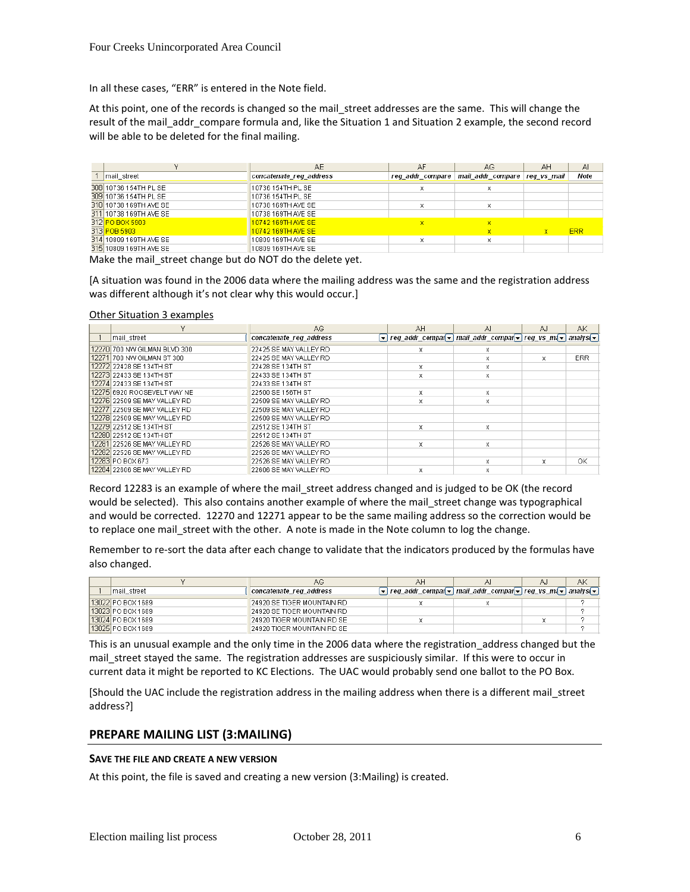In all these cases, "ERR" is entered in the Note field.

At this point, one of the records is changed so the mail\_street addresses are the same. This will change the result of the mail\_addr\_compare formula and, like the Situation 1 and Situation 2 example, the second record will be able to be deleted for the final mailing.

|                        | AE.                     | AF | AG                                                  | ΑH | Al         |
|------------------------|-------------------------|----|-----------------------------------------------------|----|------------|
| 1   mail_street        | concatenate reg address |    | reg addr_compare   mail_addr_compare   reg_vs_mail_ |    | Note       |
| 308 10736 154TH PL SE  | 10736 154TH PL SE       |    | x                                                   |    |            |
| 309 10736 154TH PL SE  | 10736 154TH PL SE       |    |                                                     |    |            |
| 310 10738 169TH AVE SE | 10738 169TH AVE SE      |    |                                                     |    |            |
| 311 10738 169TH AVE SE | 10738 169TH AVE SE      |    |                                                     |    |            |
| 312 PO BOX 5903        | 10742 169TH AVE SE      |    |                                                     |    |            |
| 313 POB 5903           | 10742 169TH AVE SE      |    |                                                     |    | <b>ERR</b> |
| 314 10809 169TH AVE SE | 10809 169TH AVE SE      |    |                                                     |    |            |
| 315 10809 169TH AVE SE | 10809 169TH AVE SE      |    |                                                     |    |            |

Make the mail\_street change but do NOT do the delete yet.

[A situation was found in the 2006 data where the mailing address was the same and the registration address was different although it's not clear why this would occur.]

|                              | AG.                     | AH | Al                                                                                                                             | AJ | AK                    |
|------------------------------|-------------------------|----|--------------------------------------------------------------------------------------------------------------------------------|----|-----------------------|
| mail street                  | concatenate reg address |    | $\boxed{\mathbf{v}}$ reg_addr_compar $\boxed{\mathbf{v}}$ mail_addr_compar $\boxed{\mathbf{v}}$ reg_vs_ma $\boxed{\mathbf{v}}$ |    | $anays$ $\rightarrow$ |
| 12270 700 NW GILMAN BLVD 300 | 22425 SE MAY VALLEY RD  | x  | х                                                                                                                              |    |                       |
| 12271 700 NW GILMAN ST 300   | 22425 SE MAY VALLEY RD  |    | X                                                                                                                              | x  | <b>ERR</b>            |
| 12272 22428 SE 134TH ST      | 22428 SE 134TH ST       | x  | Х                                                                                                                              |    |                       |
| 12273 22433 SE 134TH ST      | 22433 SE 134TH ST       | X  | Х                                                                                                                              |    |                       |
| 12274 22433 SE 134TH ST      | 22433 SE 134TH ST       |    |                                                                                                                                |    |                       |
| 12275 6920 ROOSEVELT WAY NE  | 22500 SE 156TH ST       | х  | x                                                                                                                              |    |                       |
| 12276 22509 SE MAY VALLEY RD | 22509 SE MAY VALLEY RD  | x  | x                                                                                                                              |    |                       |
| 12277 22509 SE MAY VALLEY RD | 22509 SE MAY VALLEY RD  |    |                                                                                                                                |    |                       |
| 12278 22509 SE MAY VALLEY RD | 22509 SE MAY VALLEY RD  |    |                                                                                                                                |    |                       |
| 12279 22512 SE 134TH ST      | 22512 SE 134TH ST       | X  | x                                                                                                                              |    |                       |
| 12280 22512 SE 134TH ST      | 22512 SE 134TH ST       |    |                                                                                                                                |    |                       |
| 12281 22526 SE MAY VALLEY RD | 22526 SE MAY VALLEY RD  | x  | x                                                                                                                              |    |                       |
| 12282 22526 SE MAY VALLEY RD | 22526 SE MAY VALLEY RD  |    |                                                                                                                                |    |                       |
| 12283 PO BOX 673             | 22526 SE MAY VALLEY RD  |    | х                                                                                                                              | x  | OK                    |
| 12284 22606 SE MAY VALLEY RD | 22606 SE MAY VALLEY RD  | X  | X                                                                                                                              |    |                       |

Record 12283 is an example of where the mail\_street address changed and is judged to be OK (the record would be selected). This also contains another example of where the mail street change was typographical and would be corrected. 12270 and 12271 appear to be the same mailing address so the correction would be to replace one mail street with the other. A note is made in the Note column to log the change.

Remember to re-sort the data after each change to validate that the indicators produced by the formulas have also changed.

|                   | АG                         | ΑH |                                                                                                                                                                                          | A. | АK |
|-------------------|----------------------------|----|------------------------------------------------------------------------------------------------------------------------------------------------------------------------------------------|----|----|
| mail street       | concatenate_reg_address    |    | $\lceil \mathbf{v} \rceil$ reg_addr_compar $\lceil \mathbf{v} \rceil$ mail_addr_compar $\lceil \mathbf{v} \rceil$ reg_vs_ma $\lceil \mathbf{v} \rceil$ analys $\lceil \mathbf{v} \rceil$ |    |    |
| 13022 PO BOX 1689 | 24920 SE TIGER MOUNTAIN RD |    |                                                                                                                                                                                          |    |    |
| 13023 PO BOX 1689 | 24920 SE TIGER MOUNTAIN RD |    |                                                                                                                                                                                          |    |    |
| 13024 PO BOX 1689 | 24920 TIGER MOUNTAIN RD SE |    |                                                                                                                                                                                          |    |    |
| 13025 PO BOX 1689 | 24920 TIGER MOUNTAIN RD SE |    |                                                                                                                                                                                          |    |    |

This is an unusual example and the only time in the 2006 data where the registration\_address changed but the mail\_street stayed the same. The registration addresses are suspiciously similar. If this were to occur in current data it might be reported to KC Elections. The UAC would probably send one ballot to the PO Box.

[Should the UAC include the registration address in the mailing address when there is a different mail\_street address?]

# **PREPARE MAILING LIST (3:MAILING)**

#### **SAVE THE FILE AND CREATE A NEW VERSION**

At this point, the file is saved and creating a new version (3:Mailing) is created.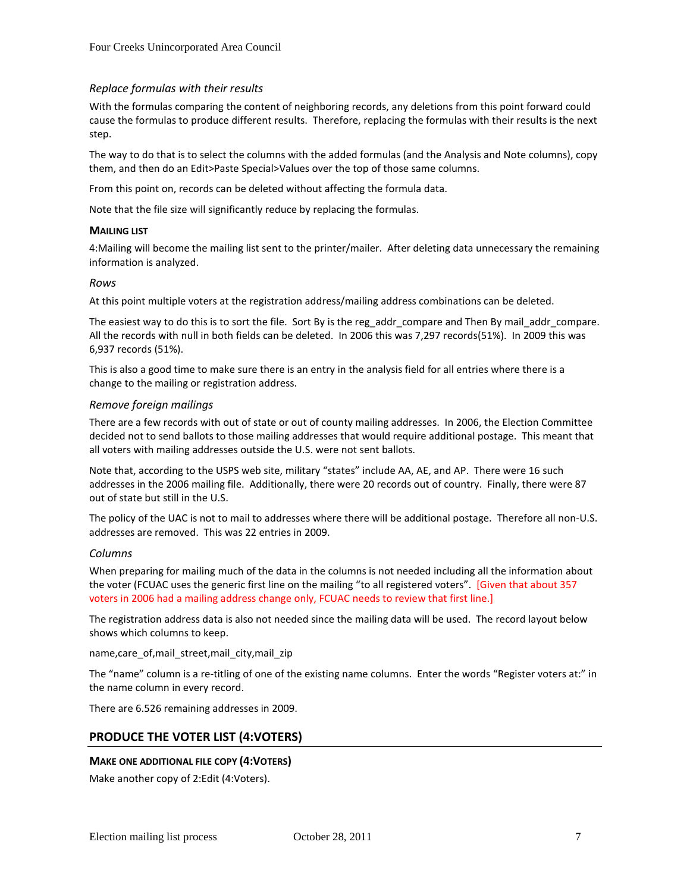# *Replace formulas with their results*

With the formulas comparing the content of neighboring records, any deletions from this point forward could cause the formulas to produce different results. Therefore, replacing the formulas with their results is the next step.

The way to do that is to select the columns with the added formulas (and the Analysis and Note columns), copy them, and then do an Edit>Paste Special>Values over the top of those same columns.

From this point on, records can be deleted without affecting the formula data.

Note that the file size will significantly reduce by replacing the formulas.

### **MAILING LIST**

4:Mailing will become the mailing list sent to the printer/mailer. After deleting data unnecessary the remaining information is analyzed.

### *Rows*

At this point multiple voters at the registration address/mailing address combinations can be deleted.

The easiest way to do this is to sort the file. Sort By is the reg\_addr\_compare and Then By mail\_addr\_compare. All the records with null in both fields can be deleted. In 2006 this was 7,297 records(51%). In 2009 this was 6,937 records (51%).

This is also a good time to make sure there is an entry in the analysis field for all entries where there is a change to the mailing or registration address.

# *Remove foreign mailings*

There are a few records with out of state or out of county mailing addresses. In 2006, the Election Committee decided not to send ballots to those mailing addresses that would require additional postage. This meant that all voters with mailing addresses outside the U.S. were not sent ballots.

Note that, according to the USPS web site, military "states" include AA, AE, and AP. There were 16 such addresses in the 2006 mailing file. Additionally, there were 20 records out of country. Finally, there were 87 out of state but still in the U.S.

The policy of the UAC is not to mail to addresses where there will be additional postage. Therefore all non-U.S. addresses are removed. This was 22 entries in 2009.

# *Columns*

When preparing for mailing much of the data in the columns is not needed including all the information about the voter (FCUAC uses the generic first line on the mailing "to all registered voters". [Given that about 357 voters in 2006 had a mailing address change only, FCUAC needs to review that first line.]

The registration address data is also not needed since the mailing data will be used. The record layout below shows which columns to keep.

name, care\_of,mail\_street,mail\_city,mail\_zip

The "name" column is a re-titling of one of the existing name columns. Enter the words "Register voters at:" in the name column in every record.

There are 6.526 remaining addresses in 2009.

# **PRODUCE THE VOTER LIST (4:VOTERS)**

# **MAKE ONE ADDITIONAL FILE COPY (4:VOTERS)**

Make another copy of 2:Edit (4:Voters).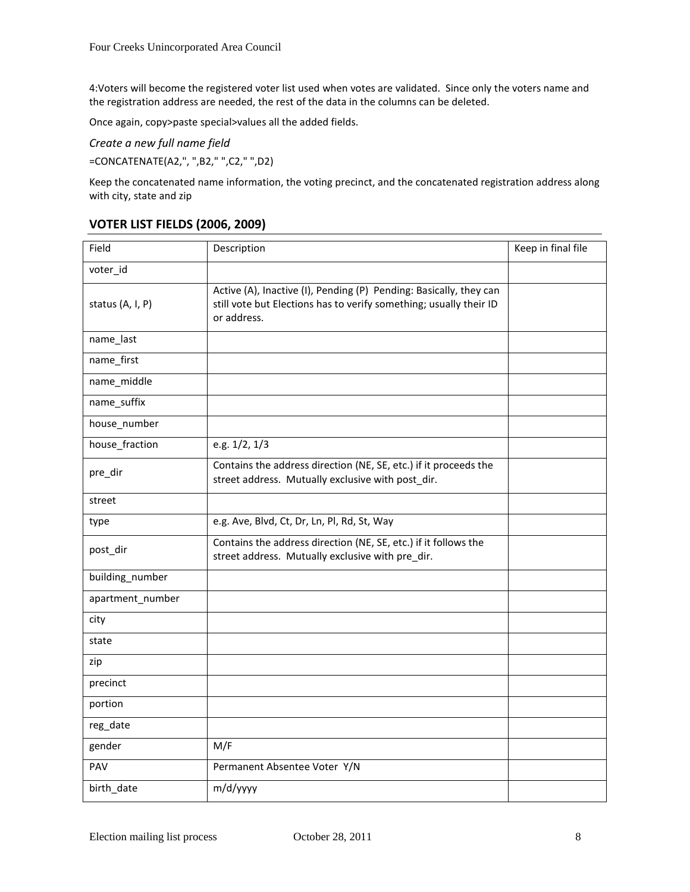4:Voters will become the registered voter list used when votes are validated. Since only the voters name and the registration address are needed, the rest of the data in the columns can be deleted.

Once again, copy>paste special>values all the added fields.

*Create a new full name field*

=CONCATENATE(A2,", ",B2," ",C2," ",D2)

Keep the concatenated name information, the voting precinct, and the concatenated registration address along with city, state and zip

# **VOTER LIST FIELDS (2006, 2009)**

| Field            | Description                                                                                                                                             | Keep in final file |
|------------------|---------------------------------------------------------------------------------------------------------------------------------------------------------|--------------------|
| voter_id         |                                                                                                                                                         |                    |
| status (A, I, P) | Active (A), Inactive (I), Pending (P) Pending: Basically, they can<br>still vote but Elections has to verify something; usually their ID<br>or address. |                    |
| name_last        |                                                                                                                                                         |                    |
| name_first       |                                                                                                                                                         |                    |
| name_middle      |                                                                                                                                                         |                    |
| name_suffix      |                                                                                                                                                         |                    |
| house_number     |                                                                                                                                                         |                    |
| house_fraction   | e.g. 1/2, 1/3                                                                                                                                           |                    |
| pre_dir          | Contains the address direction (NE, SE, etc.) if it proceeds the<br>street address. Mutually exclusive with post_dir.                                   |                    |
| street           |                                                                                                                                                         |                    |
| type             | e.g. Ave, Blvd, Ct, Dr, Ln, Pl, Rd, St, Way                                                                                                             |                    |
| post_dir         | Contains the address direction (NE, SE, etc.) if it follows the<br>street address. Mutually exclusive with pre_dir.                                     |                    |
| building_number  |                                                                                                                                                         |                    |
| apartment_number |                                                                                                                                                         |                    |
| city             |                                                                                                                                                         |                    |
| state            |                                                                                                                                                         |                    |
| zip              |                                                                                                                                                         |                    |
| precinct         |                                                                                                                                                         |                    |
| portion          |                                                                                                                                                         |                    |
| reg_date         |                                                                                                                                                         |                    |
| gender           | M/F                                                                                                                                                     |                    |
| PAV              | Permanent Absentee Voter Y/N                                                                                                                            |                    |
| birth_date       | m/d/yyyy                                                                                                                                                |                    |